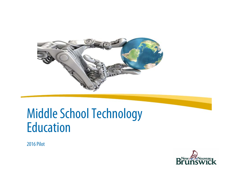

# Middle School Technology Education

2016 Pilot

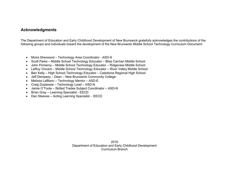## **Acknowledgments**

The Department of Education and Early Childhood Development of New Brunswick gratefully acknowledges the contributions of the following groups and individuals toward the development of the New Brunswick Middle School Technology Curriculum Document:

- Moira Sherwood Technology Area Coordinator ASD-S
- Scott Parks Middle School Technology Educator Bliss Carman Middle School
- John Pomeroy Middle School Technology Educator Ridgeview Middle School
- LeRoy Vincent Middle School Technology Educator River Valley Middle School
- Ben Kelly High School Technology Educator Caledonia Regional High School
- Jeff Dempsey Dean New Brunswick Community College
- Melissa LeBlanc Technology Mentor ASD-E
- Craig Duplessie Technology Lead ASD-N
- Jamie O'Toole Skilled Trades Subject Coordinator ASD-N
- Brian Gray Learning Specialist EECD
- Dan Steeves Acting Learning Specialist EECD

2016 Department of Education and Early Childhood Development Curriculum Branch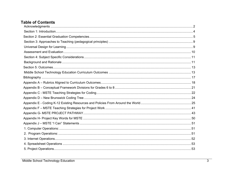## **Table of Contents**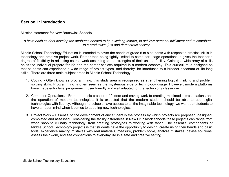## **Section 1: Introduction**

Mission statement for New Brunswick Schools

### *To have each student develop the attributes needed to be a lifelong learner, to achieve personal fulfillment and to contribute to a productive, just and democratic society.*

Middle School Technology Education is intended to cover the needs of grade 6 to 8 students with respect to practical skills in technology and creative project work. Rather than being tightly limited to computer usage operations, it gives the teacher a degree of flexibility in adjusting course work according to the strengths of their unique facility. Gaining a wide array of skills helps the individual prepare for life and the career choices required in a modern economy. This curriculum is designed so that students can experience a wide range of project types, and thereby, be introduced to a broader spectrum of life-long skills. There are three main subject areas in Middle School Technology:

- 1. Coding Often know as programming, this study area is recognized as strengthening logical thinking and problem solving skills. Programming is often seen as the mysterious side of technology usage. However, modern platforms have made entry level programming user friendly and well adapted for the technology classroom.
- 2. Computer Operations From the basic creation of folders and saving work to creating multimedia presentations and the operation of modern technologies, it is expected that the modern student should be able to use digital technologies with fluency. Although no schools have access to all the imaginable technology, we want our students to have an open mind when it comes to adopting new technologies.
- 3. Project Work Essential to the development of any student is the process by which projects are proposed, designed, completed and assessed. Considering the facility differences in New Brunswick schools these projects can range from wood shop to culinary technology, from creating prototypes to working with fabric. The essential components of Middle School Technology projects is that students have the opportunity to design, create using their hands and basic tools, experience making mistakes with real materials, measure, problem solve, analyze mistakes, devise solutions, assess their work, and see connections to everyday life in a safe and creative setting.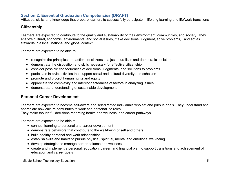## **Section 2: Essential Graduation Competencies (DRAFT)**

Attitudes, skills, and knowledge that prepare learners to successfully participate in lifelong learning and life/work transitions

## **Citizenship**

Learners are expected to contribute to the quality and sustainability of their environment, communities, and society. They analyze cultural, economic, environmental and social issues, make decisions, judgment, solve problems, and act as stewards in a local, national and global context.

Learners are expected to be able to:

- recognize the principles and actions of citizens in a just, pluralistic and democratic societies
- $\bullet$ demonstrate the disposition and skills necessary for effective citizenship
- $\bullet$ consider possible consequences of decisions, judgments, and solutions to problems
- $\bullet$ participate in civic activities that support social and cultural diversity and cohesion
- $\bullet$ promote and protect human rights and equity
- $\bullet$ appreciate the complexity and interconnectedness of factors in analyzing issues
- demonstrate understanding of sustainable development

## **Personal-Career Development**

Learners are expected to become self-aware and self-directed individuals who set and pursue goals. They understand and appreciate how culture contributes to work and personal life roles.

They make thoughtful decisions regarding health and wellness, and career pathways.

Learners are expected to be able to:

- connect learning to personal and career development
- demonstrate behaviors that contribute to the well-being of self and others
- build healthy personal and work relationships
- establish skills and habits to pursue physical, spiritual, mental and emotional well-being
- develop strategies to manage career balance and wellness
- create and implement a personal, education, career, and financial plan to support transitions and achievement of education and career goals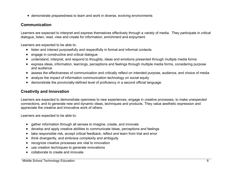demonstrate preparedness to learn and work in diverse, evolving environments

## **Communication**

Learners are expected to interpret and express themselves effectively through a variety of media. They participate in critical dialogue, listen, read, view and create for information, enrichment and enjoyment.

Learners are expected to be able to:

- listen and interact purposefully and respectfully in formal and informal contexts
- engage in constructive and critical dialogue
- understand, interpret, and respond to thoughts, ideas and emotions presented through multiple media forms
- express ideas, information, learnings, perceptions and feelings through multiple media forms, considering purpose and audience
- assess the effectiveness of communication and critically reflect on intended purpose, audience, and choice of media
- analyze the impact of information communication technology on social equity
- demonstrate the provincially-defined level of proficiency in a second official language

## **Creativity and Innovation**

Learners are expected to demonstrate openness to new experiences, engage in creative processes, to make unexpected connections, and to generate new and dynamic ideas, techniques and products. They value aesthetic expression and appreciate the creative and innovative work of others.

Learners are expected to be able to:

- gather information through all senses to imagine, create, and innovate
- develop and apply creative abilities to communicate ideas, perceptions and feelings
- take responsible risk, accept critical feedback, reflect and learn from trial and error
- $\bullet$ think divergently, and embrace complexity and ambiguity
- $\bullet$ recognize creative processes are vital to innovation
- use creation techniques to generate innovations
- collaborate to create and innovate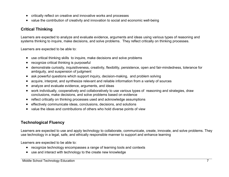- critically reflect on creative and innovative works and processes
- value the contribution of creativity and innovation to social and economic well-being

## **Critical Thinking**

Learners are expected to analyze and evaluate evidence, arguments and ideas using various types of reasoning and systems thinking to inquire, make decisions, and solve problems. They reflect critically on thinking processes.

Learners are expected to be able to:

- use critical thinking skills to inquire, make decisions and solve problems
- $\bullet$ recognize critical thinking is purposeful
- demonstrate curiosity, inquisitiveness, creativity, flexibility, persistence, open and fair-mindedness, tolerance for ambiguity, and suspension of judgment
- ask powerful questions which support inquiry, decision-making, and problem solving
- $\bullet$ acquire, interpret, and synthesize relevant and reliable information from a variety of sources
- $\bullet$ analyze and evaluate evidence, arguments, and ideas
- work individually, cooperatively and collaboratively to use various types of reasoning and strategies, draw conclusions, make decisions, and solve problems based on evidence
- reflect critically on thinking processes used and acknowledge assumptions
- effectively communicate ideas, conclusions, decisions, and solutions
- 0 value the ideas and contributions of others who hold diverse points of view

## **Technological Fluency**

Learners are expected to use and apply technology to collaborate, communicate, create, innovate, and solve problems. They use technology in a legal, safe, and ethically responsible manner to support and enhance learning

Learners are expected to be able to:

- recognize technology encompasses a range of learning tools and contexts
- use and interact with technology to the create new knowledge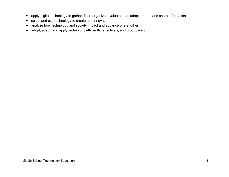- apply digital technology to gather, filter, organize, evaluate, use, adapt, create, and share information
- $\bullet$  select and use technology to create and innovate
- analyze how technology and society impact and advance one another
- adopt, adapt, and apply technology efficiently, effectively, and productively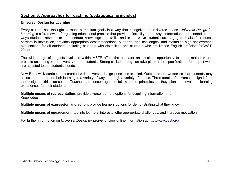## **Section 3: Approaches to Teaching (pedagogical principles)**

## **Universal Design for Learning**

Every student has the right to reach curriculum goals in a way that recognizes their diverse needs. *Universal Design for*  Learning is a "framework for guiding educational practice that provides flexibility in the ways information is presented, in the ways students respond or demonstrate knowledge and skills, and in the ways students are engaged. It also "...reduces barriers in instruction, provides appropriate accommodations, supports, and challenges, and maintains high achievement expectations for all students, including students with disabilities and students who are limited English proficient." (CAST, 2011)

The wide range of projects available within MSTE offers the educator an excellent opportunity to adapt materials and projects according to the diversity of the students. Strong skills learning can take place if the specifications for project work are adjusted to the students' needs.

New Brunswick curricula are created with universal design principles in mind. Outcomes are written so that students may access and represent their learning in a variety of ways, through a variety of modes. Three tenets of universal design inform the design of this curriculum. Teachers are encouraged to follow these principles as they plan and evaluate learning experiences for their students:

**Multiple means of representation:** provide diverse learners options for acquiring information and Knowledge

**Multiple means of expression and action:** provide learners options for demonstrating what they know

**Multiple means of engagement:** tap into learners' interests, offer appropriate challenges, and increase motivation

For further information on *Universal Design for Learning*, view online information at http://www.cast.org/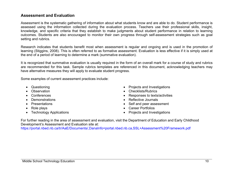## **Assessment and Evaluation**

Assessment is the systematic gathering of information about what students know and are able to do. Student performance is assessed using the information collected during the evaluation process. Teachers use their professional skills, insight, knowledge, and specific criteria that they establish to make judgments about student performance in relation to learning outcomes. Students are also encouraged to monitor their own progress through self-assessment strategies such as goal setting and rubrics.

Research indicates that students benefit most when assessment is regular and ongoing and is used in the promotion of learning (Stiggins, 2008). This is often referred to as formative assessment. Evaluation is less effective if it is simply used at the end of a period of learning to determine a mark (summative evaluation).

It is recognized that summative evaluation is usually required in the form of an overall mark for a course of study and rubrics are recommended for this task. Sample rubrics templates are referenced in this document, acknowledging teachers may have alternative measures they will apply to evaluate student progress.

Some examples of current assessment practices include:

- 
- 
- 
- 
- 
- 
- 
- Questioning **Contract Contract Contract Contract Contract Contract Contract Contract Contract Contract Contract Contract Contract Contract Contract Contract Contract Contract Contract Contract Contract Contract Contract**
- Observation **Checklists** Checklists/Rubrics  **Checklists** Checklists  **Checklists** Checklists  **Checklists Checklists Checklists Checklists Checklists Checklists Checklists Checklists C**
- Conferences Responses to texts/activities
- Demonstrations **Constrations Constrations Reflective Journals**
- Presentations  **Self and peer assessment**
- Role plays **Career Portfolios Career Portfolios**
- Technology Applications **Exercise 2018** Projects and Investigations

For further reading in the area of assessment and evaluation, visit the Department of Education and Early Childhood Development's Assessment and Evaluation site at:

https://portal.nbed.nb.ca/tr/AaE/Documents/,DanaInfo=portal.nbed.nb.ca,SSL+Assessment%20Framework.pdf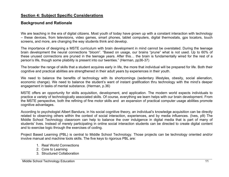## **Section 4: Subject Specific Considerations**

## **Background and Rationale**

We are teaching in the era of digital citizens. Most youth of today have grown up with a constant interaction with technology – these devices, from televisions, video games, smart phones, tablet computers, digital thermostats, gps locators, touch screens, and more, are changing the way students think and develop.

The importance of designing a MSTE curriculum with brain development in mind cannot be overstated. During the teenage brain development the neural connections "bloom". "Based on usage, our brains "prune" what is not used. Up to 60% of these unused connections are pruned in the teenage years. After this… the brain is fundamentally wired for the rest of a person's life, though some pliability is present into our twenties." (Herman, pp36-37)

The broader the range of skills that a student acquires early in life, the more that individual will be prepared for life. Both their cognitive and practical abilities are strengthened in their adult years by experiences in their youth.

We need to balance the benefits of technology with its shortcomings (sedentary lifestyles, obesity, social alienation, economic change). We need to balance the student's want of instant gratification thru technology with the mind's deeper engagement in tasks of mental substance. (Herman, p.36)

MSTE offers an opportunity for skills acquisition, development, and application. The modern world expects individuals to practice a variety of technologically associated skills. Of course, everything we learn helps with our brain development. From the MSTE perspective, both the refining of fine motor skills and an expansion of practical computer usage abilities promote cognitive advantages.

According to psychologist Albert Bandura, in his social cognitive theory, an individual's knowledge acquisition can be directly related to observing others within the context of social interaction, experiences, and by media influences. (Ives, p9) The Middle School Technology classroom can help to balance the over indulgence in digital media that is part of many of students' lives. Instead of merely participating in online social interaction students can be directed to create digital content and to exercise logic through the exercises of coding.

Project Based Learning (PBL) is central to Middle School Technology. Those projects can be technology oriented and/or involve manual and machine tools skills. The five keys to rigorous PBL are:

- 1. Real World Connections
- 2. Core to Learning
- 3. Structured Collaboration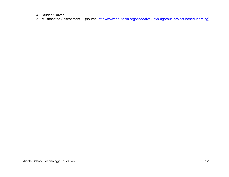4. Student Driven

5. Multifaceted Assessment (source: http://www.edutopia.org/video/five-keys-rigorous-project-based-learning)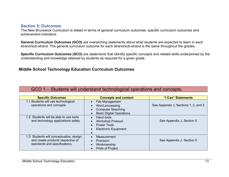## **Section 5: Outcomes**

The New Brunswick Curriculum is stated in terms of general curriculum outcomes, specific curriculum outcomes and achievement indicators.

**General Curriculum Outcomes (GCO)** are overarching statements about what students are expected to learn in each strand/sub-strand. The general curriculum outcome for each strand/sub-strand is the same throughout the grades.

**Specific Curriculum Outcomes (SCO)** are statements that identify specific concepts and related skills underpinned by the understanding and knowledge attained by students as required for a given grade.

## **Middle School Technology Education Curriculum Outcomes**

## GCO 1 – Students will understand technological operations and concepts.

| <b>Specific Outcomes</b>                                                                                       | <b>Concepts and content</b>                                                                        | "I Can" Statements                   |
|----------------------------------------------------------------------------------------------------------------|----------------------------------------------------------------------------------------------------|--------------------------------------|
| 1.1 Students will use technological<br>operations and concepts                                                 | File Management<br>Word processing<br><b>Computer Sketching</b><br><b>Basic Digital Operations</b> | See Appendix J, Sections 1, 2, and 3 |
| 1.2 Students will be able to use tools<br>and technology applications safely.                                  | Hand tools<br><b>Workshop Protocol</b><br>Power Tools<br><b>Electronic Equipment</b>               | See Appendix J, Section 5            |
| 1.3 Students will conceptualize, design,<br>and create products respective of<br>standards and specifications. | Measurement<br>$\bullet$<br>Precision<br>Workmanship<br><b>Pride of Project</b>                    | See Appendix J, Section 5            |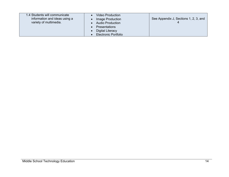| 1.4 Students will communicate<br>information and ideas using a<br>variety of multimedia. | <b>Video Production</b><br>Image Production<br><b>Audio Production</b><br><b>Presentations</b><br>Digital Literacy<br><b>Electronic Portfolio</b> | See Appendix J, Sections 1, 2, 3, and |
|------------------------------------------------------------------------------------------|---------------------------------------------------------------------------------------------------------------------------------------------------|---------------------------------------|
|------------------------------------------------------------------------------------------|---------------------------------------------------------------------------------------------------------------------------------------------------|---------------------------------------|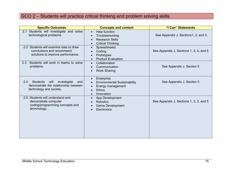## GCO 2 – Students will practice critical thinking and problem solving skills.

| <b>Specific Outcomes</b>                                                                                                | <b>Concepts and content</b>                                                                                        | "I Can" Statements                      |
|-------------------------------------------------------------------------------------------------------------------------|--------------------------------------------------------------------------------------------------------------------|-----------------------------------------|
| Students will investigate and solve<br>2.1<br>technological problems.                                                   | Help function<br>$\bullet$<br>Troubleshooting<br><b>Research Skills</b><br><b>Critical Thinking</b>                | See Appendix J, Sections1, 2, and 3.    |
| 2.2 Students will examine data to draw<br>conclusions and recommend<br>solutions to improve performance.                | Spreadsheets<br>$\bullet$<br>Coding<br>Prototypes<br><b>Product Evaluation</b>                                     | See Appendix J, Sections 1, 2, 4, and 5 |
| Students will work in teams to solve<br>2.3<br>problems.                                                                | Collaboration<br>$\bullet$<br>Communication<br><b>Work Sharing</b>                                                 | See Appendix J, Section 5               |
| 2.4<br><b>Students</b><br>investigate<br>will<br>and<br>demonstrate the relationship between<br>technology and society. | Enterprise<br><b>Environmental Sustainability</b><br>Energy management<br><b>Ethics</b><br>Innovation<br>$\bullet$ | See Appendix J, Section 5               |
| 2.5 Students will understand and<br>demonstrate computer<br>coding/programming concepts and<br>terminology.             | App Development<br><b>Robotics</b><br>Game Development<br>Electronics                                              | See Appendix J, Sections 1, 2, 3, and 5 |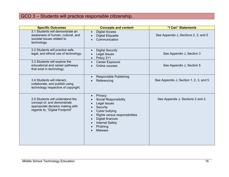## GCO 3 – Students will practice responsible citizenship.

| <b>Specific Outcomes</b>                                                                                                               | <b>Concepts and content</b>                                                                                                                                                                         | "I Can" Statements                     |
|----------------------------------------------------------------------------------------------------------------------------------------|-----------------------------------------------------------------------------------------------------------------------------------------------------------------------------------------------------|----------------------------------------|
| 3.1 Students will demonstrate an<br>awareness of human, cultural, and<br>societal issues related to<br>technology.                     | <b>Digital Access</b><br><b>Digital Etiquette</b><br>Communication                                                                                                                                  | See Appendix J, Sections 2, 3, and 5   |
| 3.2 Students will practice safe,<br>legal, and ethical use of technology.                                                              | <b>Digital Security</b><br>Legal Issues<br>Policy 311                                                                                                                                               | See Appendix J, Section 3              |
| 3.3 Students will explore the<br>educational and career pathways<br>that exist in technology.                                          | <b>Career Exposure</b><br>Online courses                                                                                                                                                            | See Appendix J, Section 5              |
| 3.4 Students will interact,<br>collaborate, and publish using<br>technology respective of copyright.                                   | <b>Responsible Publishing</b><br>Referencing                                                                                                                                                        | See Appendix J, Section 1, 2, 3, and 5 |
| 3.5 Students will understand the<br>concept of, and demonstrate<br>appropriate decision making with<br>regards to, "Digital Footprint" | Privacy<br><b>Social Responsibility</b><br>Legal Issues<br>Security<br>Cyber bullying<br>Rights versus responsibilities<br>Digital finances<br><b>Internet Safety</b><br>Phishing<br><b>Malware</b> | See Appendix J, Sections 2 and 3.      |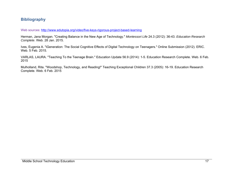## **Bibliography**

Web sources: http://www.edutopia.org/video/five-keys-rigorous-project-based-learning

Herman, Jana Morgan. "Creating Balance in the New Age of Technology." *Montessori Life* 24.3 (2012): 36-43. *Education Research Complete*. Web. 28 Jan. 2015.

Ives, Eugenia A. "iGeneration: The Social Cognitive Effects of Digital Technology on Teenagers." Online Submission (2012). ERIC. Web. 5 Feb. 2015.

VARLAS, LAURA. "Teaching To the Teenage Brain." Education Update 56.9 (2014): 1-5. Education Research Complete. Web. 6 Feb. 2015

Mulholland, Rita. "Woodshop, Technology, and Reading!" Teaching Exceptional Children 37.3 (2005): 16-19. Education Research Complete. Web. 6 Feb. 2015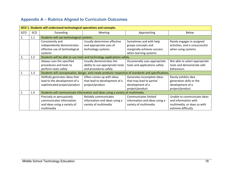## **Appendix A – Rubrics Aligned to Curriculum Outcomes**

| GCO 1. Students will understand technological operations and concepts. |     |                                                                                                      |                                                                        |                               |                                 |  |  |
|------------------------------------------------------------------------|-----|------------------------------------------------------------------------------------------------------|------------------------------------------------------------------------|-------------------------------|---------------------------------|--|--|
| GCO                                                                    | SCO | Exceeding                                                                                            | <b>Meeting</b>                                                         | Approaching                   | Below                           |  |  |
| 1.                                                                     | 1.1 | Students will use technological systems.                                                             |                                                                        |                               |                                 |  |  |
|                                                                        |     | Consistently and                                                                                     | Usually determines effective                                           | Sometimes and with help       | Rarely engages in assigned      |  |  |
|                                                                        |     | independently demonstrates                                                                           | and appropriate uses of                                                | grasps concepts and           | activities, and is unsuccessful |  |  |
|                                                                        |     | effective use of technological                                                                       | technology systems                                                     | marginally achieves success   | when using systems              |  |  |
|                                                                        |     | systems                                                                                              |                                                                        | when learning systems         |                                 |  |  |
| 1.                                                                     | 1.2 |                                                                                                      | Students will be able to use tools and technology applications safely. |                               |                                 |  |  |
|                                                                        |     | Always uses the specified                                                                            | Usually demonstrates the                                               | Occasionally uses appropriate | Not able to select appropriate  |  |  |
|                                                                        |     | procedures and tools to                                                                              | ability to use appropriate tools                                       | tools and applications safely | tools and demonstrate safe      |  |  |
|                                                                        |     | perform tasks safely                                                                                 | and procedures safely                                                  |                               | behaviours                      |  |  |
|                                                                        | 1.3 | Students will conceptualize, design, and create products respective of standards and specifications. |                                                                        |                               |                                 |  |  |
|                                                                        |     | Skillfully generates ideas that                                                                      | Often comes up with ideas                                              | Generates incomplete ideas    | Rarely exhibits idea            |  |  |
|                                                                        |     | lead to the development of a                                                                         | that lead to development of a                                          | that may lead to partial      | generation skills or the        |  |  |
|                                                                        |     | sophisticated project/product                                                                        | project/product                                                        | development of a              | development of a                |  |  |
|                                                                        |     |                                                                                                      |                                                                        | project/product               | project/product                 |  |  |
|                                                                        | 1.4 | Students will communicate information and ideas using a variety of multimedia.                       |                                                                        |                               |                                 |  |  |
|                                                                        |     | Precisely or persuasively                                                                            | Reliably communicates                                                  | Communicates limited          | Unable to communicate ideas     |  |  |
|                                                                        |     | communicates information                                                                             | information and ideas using a                                          | information and ideas using a | and information with            |  |  |
|                                                                        |     | and ideas using a variety of                                                                         | variety of multimedia                                                  | variety of multimedia         | multimedia, or does so with     |  |  |
|                                                                        |     | multimedia                                                                                           |                                                                        |                               | extreme difficulty              |  |  |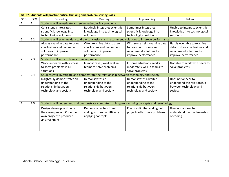|                | GCO 2. Students will practice critical thinking and problem solving skills. |                                                             |                                                                                                |                              |                                |  |  |
|----------------|-----------------------------------------------------------------------------|-------------------------------------------------------------|------------------------------------------------------------------------------------------------|------------------------------|--------------------------------|--|--|
| GCO            | SCO                                                                         | Exceeding                                                   | Meeting                                                                                        | Approaching                  | Below                          |  |  |
| $\overline{2}$ | 2.1                                                                         | Students will investigate and solve technological problems. |                                                                                                |                              |                                |  |  |
|                |                                                                             | Consistently integrates                                     | Routinely integrates scientific                                                                | Sometimes integrates         | Unable to integrate scientific |  |  |
|                |                                                                             | scientific knowledge into                                   | knowledge into technological                                                                   | scientific knowledge into    | knowledge into technological   |  |  |
|                |                                                                             | technological solutions                                     | solutions                                                                                      | technological solutions      | solutions                      |  |  |
| $\overline{2}$ | 2.2                                                                         |                                                             | Students will examine data to draw conclusions and recommend solutions to improve performance. |                              |                                |  |  |
|                |                                                                             | Always examine data to draw                                 | Often examine data to draw                                                                     | With some help, examine data | Hardly ever able to examine    |  |  |
|                |                                                                             | conclusions and recommend                                   | conclusions and recommend                                                                      | to draw conclusions and      | data to draw conclusions and   |  |  |
|                |                                                                             | solutions to improve                                        | solutions to improve                                                                           | recommend solutions to       | recommend solutions to         |  |  |
|                |                                                                             | performance                                                 | performance                                                                                    | improve performance          | improve performance            |  |  |
| $\overline{2}$ | 2.3                                                                         | Students will work in teams to solve problems.              |                                                                                                |                              |                                |  |  |
|                |                                                                             | Works in teams with success                                 | In most cases, work well in                                                                    | In some situations, works    | Not able to work with peers to |  |  |
|                |                                                                             | to solve problems in all                                    | teams to solve problems                                                                        | moderately well in teams to  | solve problems                 |  |  |
|                |                                                                             | situations                                                  |                                                                                                | solve problems               |                                |  |  |
| $\overline{2}$ | 2.4                                                                         |                                                             | Students will investigate and demonstrate the relationship between technology and society.     |                              |                                |  |  |
|                |                                                                             | Insightfully demonstrates an                                | Demonstrates an                                                                                | Demonstrates a limited       | Does not appear to             |  |  |
|                |                                                                             | understanding of the                                        | understanding of the                                                                           | understanding of the         | understand the relationship    |  |  |
|                |                                                                             | relationship between                                        | relationship between                                                                           | relationship between         | between technology and         |  |  |
|                |                                                                             | technology and society                                      | technology and society                                                                         | technology and society       | society                        |  |  |
|                |                                                                             |                                                             |                                                                                                |                              |                                |  |  |
|                |                                                                             |                                                             |                                                                                                |                              |                                |  |  |
| $\overline{2}$ | 2.5                                                                         |                                                             | Students will understand and demonstrate computer coding/programming concepts and terminology. |                              |                                |  |  |
|                |                                                                             | Design, develop, and code                                   | Demonstrates functional                                                                        | Practices limited coding but | Does not appear to             |  |  |
|                |                                                                             | their own project. Code their                               | coding with some difficulty                                                                    | projects often have problems | understand the fundamentals    |  |  |
|                |                                                                             | own project to produced                                     | applying concepts                                                                              |                              | of coding                      |  |  |
|                |                                                                             | desired effect                                              |                                                                                                |                              |                                |  |  |
|                |                                                                             |                                                             |                                                                                                |                              |                                |  |  |
|                |                                                                             |                                                             |                                                                                                |                              |                                |  |  |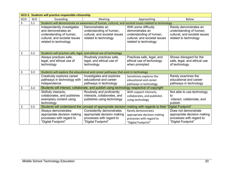|     | GCO 3. Students will practice responsible citizenship |                                                                                                                                                                                                                                                |                                                                                                             |                                                                                                                              |                                                                                                             |  |  |
|-----|-------------------------------------------------------|------------------------------------------------------------------------------------------------------------------------------------------------------------------------------------------------------------------------------------------------|-------------------------------------------------------------------------------------------------------------|------------------------------------------------------------------------------------------------------------------------------|-------------------------------------------------------------------------------------------------------------|--|--|
| GCO | SCO                                                   | Exceeding<br>Meeting                                                                                                                                                                                                                           |                                                                                                             | Below<br>Approaching                                                                                                         |                                                                                                             |  |  |
| 3   | 3.1                                                   | Students will demonstrate an awareness of human, cultural, and societal issues related to technology                                                                                                                                           |                                                                                                             |                                                                                                                              |                                                                                                             |  |  |
|     |                                                       | Demonstrates an<br>Independently investigates<br>and demonstrates an<br>understanding of human,<br>understanding of human,<br>cultural, and societal issues<br>cultural, and societal issues<br>related to technology<br>related to technology |                                                                                                             | With some difficulty<br>demonstrates an<br>understanding of human,<br>cultural, and societal issues<br>related to technology | Rarely demonstrates an<br>understanding of human,<br>cultural, and societal issues<br>related to technology |  |  |
| 3   | 3.2                                                   | Students will practice safe, legal, and ethical use of technology                                                                                                                                                                              |                                                                                                             |                                                                                                                              |                                                                                                             |  |  |
|     |                                                       | Always practices safe,<br>legal, and ethical use of<br>technology                                                                                                                                                                              | Routinely practices safe,<br>legal, and ethical use of<br>technology                                        | Practices safe, legal, and<br>ethical use of technology<br>when prompted                                                     | Shows disregard for the<br>safe, legal, and ethical use<br>of technology                                    |  |  |
| 3   | 3.3                                                   |                                                                                                                                                                                                                                                | Students will explore the educational and career pathways that exist in technology                          |                                                                                                                              |                                                                                                             |  |  |
|     |                                                       | Creatively explores career<br>pathways in technology with<br>independence                                                                                                                                                                      | Investigates and explores<br>educational and career<br>pathways in technology                               | Sometimes explores the<br>educational and career<br>pathways in technology                                                   | Rarely examines the<br>educational and career<br>pathways in technology                                     |  |  |
| 3   | 3.4                                                   |                                                                                                                                                                                                                                                | Students will interact, collaborate, and publish using technology respective of copyright                   |                                                                                                                              |                                                                                                             |  |  |
|     |                                                       | Skilfully interacts,<br>collaborates, and publishes<br>exemplary content using<br>technology                                                                                                                                                   | Routinely and proficiently<br>interacts, collaborates, and<br>publishes using technology                    | With support interacts,<br>collaborates, and publishes<br>using technology                                                   | Not able to use technology<br>tο<br>interact, collaborate, and<br>publish                                   |  |  |
| 3   | 3.5                                                   |                                                                                                                                                                                                                                                |                                                                                                             | Students will understand the concept of appropriate decision making with regards to their "Digital Footprint"                |                                                                                                             |  |  |
|     |                                                       | Always demonstrates<br>appropriate decision making<br>processes with regard to<br>"Digital Footprint"                                                                                                                                          | Consistently demonstrates<br>appropriate decision making<br>processes with regard to<br>"Digital Footprint" | Rarely demonstrates<br>appropriate decision making<br>processes with regard to<br>"Digital Footprint"                        | Does not demonstrate<br>appropriate decision making<br>processes with regard to<br>"Digital Footprint"      |  |  |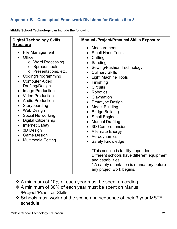## **Appendix B – Conceptual Framework Divisions for Grades 6 to 8**

**Middle School Technology can include the following:** 

## **Digital Technology Skills Exposure**

- File Management
- Office
	- o Word Processing
	- o Spreadsheets
	- o Presentations, etc.
- Coding/Programming
- Computer Aided Drafting/Design
- Image Production
- Video Production
- Audio Production
- Storyboarding
- Web Design
- Social Networking
- Digital Citizenship
- Internet Safety
- 3D Design
- Game Design
- Multimedia Editing

## **Manual /Project/Practical Skills Exposure**

- Measurement
- Small Hand Tools
- Cutting
- Sanding
- Sewing/Fashion Technology
- Culinary Skills
- Light Machine Tools
- Finishing
- Circuits
- Robotics
- Claymation
- Prototype Design
- Model Building
- Bridge Building
- Small Engines
- Manual Drafting
- 3D Comprehension
- Alternate Energy
- Aerodynamics
- Safety Knowledge

\*This section is facility dependent. Different schools have different equipment and capabilities.

\* A safety orientation is mandatory before any project work begins.

- $\cdot$  A minimum of 10% of each year must be spent on coding.
- $\div$  A minimum of 30% of each year must be spent on Manual /Project/Practical Skills.
- ❖ Schools must work out the scope and sequence of their 3 year MSTE schedule.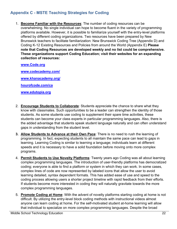## **Appendix C - MSTE Teaching Strategies for Coding**

1. **Become Familiar with the Resources**: The number of coding resources can be overwhelming. No single individual can hope to become fluent in the variety of programming platforms available. However, it is possible to familiarize yourself with the entry-level platforms offered by different coding organizations. Two resources have been prepared by New Brunswick teachers to facilitate familiarization: New Brunswick Coding Tree (Appendix D) and Coding K-12 Existing Resources and Policies from around the World (Appendix E) **Please note that Coding Resources are developed weekly and no list could be comprehensive. These organizations support Coding Education; visit their websites for an expanding collection of resources:**

#### **www.Code.org**

**www.codecademy.com/ www.khanacademy.org/** 

**hourofcode.com/ca** 

**www.edutopia.org** 

- 2. **Encourage Students to Collaborate**: Students appreciate the chance to share what they know with classmates. Such opportunities to be a leader can strengthen the identity of those students. As some students use coding to supplement their spare time activities, these students can become your class experts in particular programming languages. Also, there is the added advantage that students speak student language naturally and can often understand gaps in understanding from the student level.
- **3. Allow Students to Advance at their Own Pace**: There is no need to rush the learning of programming. In fact, expecting students to all maintain the same pace can lead to gaps in learning. Learning Coding is similar to learning a language; individuals learn at different speeds and it is necessary to have a solid foundation before moving onto more complex programs.
- 4. **Permit Students to Use Novelty Platforms**: Twenty years ago Coding was all about learning complex programming languages. The introduction of user-friendly platforms has democratized coding; everyone is able to find a platform or system in which they can work. In some cases, complex lines of code are now represented by labeled icons that allow the user to avoid learning detailed, syntax dependent formats. This has added ease of use and speed to the coding process allowing users a shorter project timeline with rapid feedback from their efforts. If students become more interested in coding they will naturally gravitate towards the more complex programming languages.
- 5. **Promote Coding at Home**: With the advent of novelty platforms starting coding at home is not difficult. By utilizing the entry-level block coding methods with instructional videos almost anyone can learn coding at home. For the self-motivated student at-home learning will allow that individual to specialize on more complex programming languages. Despite the broad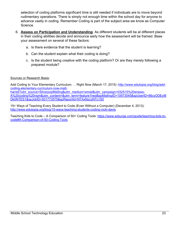selection of coding platforms significant time is still needed if individuals are to move beyond rudimentary operations. There is simply not enough time within the school day for anyone to advance vastly in coding. Remember Coding is part of the subject area we know as Computer Science.

- 6. **Assess on Participation and Understanding**: As different students will be at different places in their coding abilities decide and announce early how the assessment will be framed. Base your assessment on several of these factors:
	- a. Is there evidence that the student is learning?
	- b. Can the student explain what their coding is doing?
	- c. Is the student being creative with the coding platform? Or are they merely following a prepared module?

#### Sources or Research Basis:

Add Coding to Your Elementary Curriculum. . . Right Now (March 17, 2015) :http://www.edutopia.org/blog/addcoding-elementary-curriculum-now-mattharrell?utm\_source=SilverpopMailing&utm\_medium=email&utm\_campaign=032515%20enews-A%20coding%20ngm&utm\_content=&utm\_term=feature1hed&spMailingID=10973545&spUserID=MjcyODEyM Dk0NTES1&spJobID=501773575&spReportId=NTAxNzczNTc1S0

15+ Ways of Teaching Every Student to Code (Even Without a Computer) (December 4, 2013): http://www.edutopia.org/blog/15-ways-teaching-students-coding-vicki-davis

Teaching Kids to Code – A Comparison of 50+ Coding Tools: https://www.edsurge.com/guide/teaching-kids-tocode#A-Comparison-of-50-Coding-Tools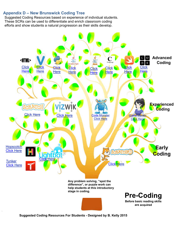## **Appendix D – New Brunswick Coding Tree**

Suggested Coding Resources based on experience of individual students. These SCRs can be used to differentiate and enrich classroom coding efforts and show students a natural progression as their skills develop.



**Suggested Coding Resources For Students - Designed by B. Kelly 2015**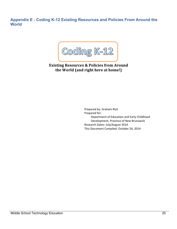**Appendix E - Coding K-12 Existing Resources and Policies From Around the World** 



**Existing Resources & Policies from Around the World (and right here at home!)**

> Prepared by: Graham Rich Prepared for: Department of Education and Early Childhood Development, Province of New Brunswick Research Dates: July/August 2014 This Document Compiled: October 26, 2014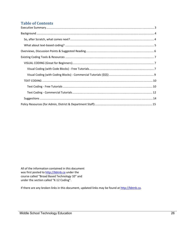## **Table of Contents**

All of the information contained in this document was first posted to http://bbtnb.ca under the course called "Broad Based Technology 10" and under the section called "K‐12 Coding".

If there are any broken links in this document, updated links may be found at http://bbtnb.ca.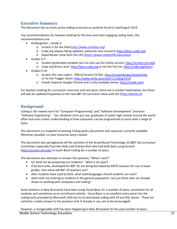## **Executive Summary**

This document lists as many active coding resources as could be found in July/August 2014.

Top recommendations for teachers looking for the best and most engaging coding tools, the recommendations are:

- $\bullet$  Kindergarten Grade 2:
	- o Scratch Jr for the iPad (http://www.scratchjr.org)
	- o Code.org (always being updated, awesome new courses!) (http://learn.code.org)
	- o Rapid Router (new from the UK) (https://www.codeforlife.education)
- Grades 3‐7:
	- o Scratch (preferably installed, but can also use the online version: http://scratch.mit.edu)
	- o Code.org (Entry Level: http://learn.code.org or see the Full List: http://code.org/learn)
- Grades 8‐10:
	- o Scratch (for new coders. Official Scratch Ed Site: http://scratched.gse.harvard.edu or try the Frogger Game: http://www.witty.ca/scratch‐2‐coding.html)
	- o Vizwik (requires Google Chrome and is only available online: http://vizwik.com)

For teachers looking for curriculum resources and unit plans, there are a number listed below, but these will also be updated frequently on the new BBT 10 curriculum ideas web site (http://bbtnb.ca).

## **Background**

Coding is the newest term for "Computer Programming" and "Software Development" and even "Software Engineering". Yet, whatever term you use, graduates of public high schools around the world often lack even a basic understanding of how computers can be programmed to assist with a range of tasks.

This document is a snapshot of existing Coding policy documents and resources currently available. Wherever possible, no new resources were created.

This document also springboards off the activities of the Broad Based Technology 10 (BBT 10) curriculum committee, especially from Ben Kelly and Graham Rich who had both been using Scratch (http://scratch.mit.edu) to teach Block Coding for a number of years.

This document also attempts to answer the question, "What's next?"

- for what are we preparing our students? What is our goal?
- If Scratch units, developed for BBT 10, are being borrowed by MSTE teachers for use in lower grades, then what will BBT 10 teachers use?
- after students have used Scratch, what tools/languages should students use next?
- what tools are enticing to students in the general population, not just those who are already drawn to working with computers and coding?

Some teachers in New Brunswick have been using Visual Basic for a number of years, sometimes for all students and sometimes as an enrichment activity. Visual Basic is an excellent entry‐point into the coding tools provided by Microsoft, with tie-ins to text-based coding with C# and SQL Server. These are certainly a viable answer to the question and, if already in use, are to be encouraged!

Middle School Technology Education 27 However, a recognizable shift has been happening in New Brunswick for the past number of years: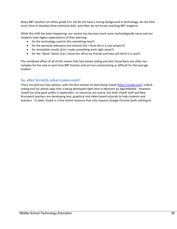Many BBT teachers (in either grade 9 or 10) do not have a strong background in technology, do not have much time to develop these technical skills, and often do not forsee teaching BBT longterm.

While this shift has been happening, our society has become much more technologically savvy and our students have higher expectations of their learning:

- for the technology used (Is this something new?)
- for the personal relevance and interest (Do I think this is a cool project?)
- for immediate results (Can I make something work right away?)
- for the "Wow" factor (Can I show this off to my friends and they will think it is cool?)

The combined effect of all of this means that text-based coding and also Visual Basic are often too complex for the new or part-time BBT teacher and are too uninteresting or difficult for the average student.

### **So, after Scratch, what comes next?**

There are precious few options, with the best answer to-date being Vizwik (http://vizwik.com), a block coding tool for phone apps that is being developed right here in Moncton by AgoraMobile. However, Vizwik has only gone public in September, so resources are scarce, but both Vizwik staff and New Brunswick teachers are developing text, graphical and video‐based tutorials to help students and teachers. To date, Vizwik is a free online resource that only requires Google Chrome (with nothing to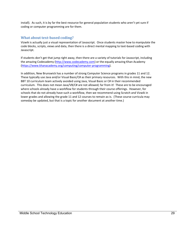install). As such, it is by far the best resource for general population students who aren't yet sure if coding or computer programming are for them.

### **What about text‐based coding?**

Vizwik is actually just a visual representation of Javascript. Once students master how to manipulate the code blocks, scripts, views and data, then there is a direct mental mapping to text-based coding with Javascript.

If students don't get that jump right away, then there are a variety of tutorials for Javascript, including the amazing Codecademy (http://www.codecademy.com) or the equally amazing Khan Academy (https://www.khanacademy.org/computing/computer‐programming).

In addition, New Brunswick has a number of strong Computer Science programs in grades 11 and 12. These typically use Java and/or Visual Basic/C# as their primary resources. With this in mind, the new BBT 10 curriculum team actively avoided using Java, Visual Basic or C# in their recommended curriculum. This does not mean Java/VB/C# are not allowed; far from it! These are to be encouraged where schools already have a workflow for students through their course offerings. However, for schools that do not already have such a workflow, then we recommend using Scratch and Vizwik in lower grades and allowing the grade 11 and 12 courses to remain as‐is. (These course curricula may someday be updated, but that is a topic for another document at another time.)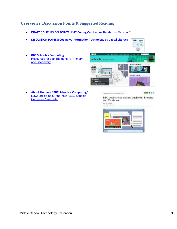## **Overviews, Discussion Points & Suggested Reading**

- **DRAFT** / **DISCUSSION POINTS: K‐12 Coding Curriculum Standards** ‐ Version 01
- **DISCUSSION POINTS: Coding vs Information Technology vs Digital Literacy**
- **BBC Schools ‐ Computing** Resources for both Elementary (Primary) and Secondary.



 **About the new "BBC Schools ‐ Computing"** News article about the new "BBC Schools - Computing" web site.

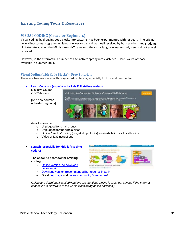## **Existing Coding Tools & Resources**

## **VISUAL CODING (Great for Beginners)**

Visual coding, by dragging code blocks into patterns, has been experimented with for years. The original Lego Mindstorms programming language was visual and was well received by both teachers and students. Unfortunately, when the Mindstorms NXT came out, the visual language was entirely new and not as well received.

However, in the aftermath, a number of alternatives sprang into existence! Here is a list of those available in Summer 2014.

#### **Visual Coding (with Code Blocks) ‐ Free Tutorials**

These are free resources with drag-and-drop blocks, especially for kids and new coders.

#### **Learn.Code.org (especially for kids & first‐time coders)**

K-8 Intro Course (15-25 hours)

[And new courses uploaded regularly]



Activities can be:

- o Unplugged for small groups
- o Unplugged for the whole class
- o Online "Blockly" coding (drag & drop blocks) no installation as it is all online
- o Video or text instructions

#### **Scratch (especially for kids & first‐time coders)**

#### **The absolute best tool for starting coding.**

- Online version (no download necessary).
- Download version (recommended but requires install).
- **•** Great help page and online community & resources!

*Online and download/installed versions are identical. Online is great but can lag if the Internet connection is slow (due to the whole class doing online activities.)*

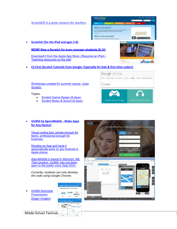*ScratchED is a great resource for teachers.*

- **SCRATCHED** What is Scratch? sonic query annung impunya Rusia<br>Int nominfone, and genre – and ble What is ScratchEd? nii it v **INCE is an one of**
- **ScratchJr (for the iPad and ages 5‐8)**

**WOW! Now a Scratch for even younger students (K-3)!**

Download it from the Apple App Store. (Requires an iPad.) Teaching resources on the site!

**CS‐First (Scratch Tutorials from Google. Especially for kids & first‐time coders)**

Workshops created for summer camps. Uses Scratch.

Topics:

- Scratch Game Design (8 days)
- Scratch Music & Sound (8 days)



#### **VizWik by AgoraMobile ‐ Make Apps for Any Device!**

Visual coding tool, simple enough for teens, professional enough for business.

Develop an App and have it automatically work on any Android or Apple phone.

*AgoraMobile is based in Moncton, NB. Their product, VizWik, has just been open to the public since Sept 2014.*

*Currently, students can only develop the code using Google Chrome.*

 VizWik Overview **Presentation** (larger images)

Middle School Technold



n: Made in New Bri Need bridge between K-5 and College...



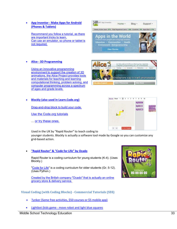**App Inventor ‐ Make Apps for Android (Phones & Tablets)**

Recommend you follow a tutorial, as there are important tricks to learn. Can use an emulator, so phone or tablet is not required.

**Alice ‐ 3D Programming**

Using an innovative programming environment to support the creation of 3D animations, the Alice Project provides tools and materials for teaching and learning computational thinking, problem solving, and computer programming across a spectrum of ages and grade levels.

**Blockly (also used in Learn.Code.org)**

Drag-and-drop block to build your code.

Use the Code.org tutorials

… or try these ones.

Used in the UK by "Rapid Router" to teach coding to

younger students. Blockly is actually a software tool made by Google so you can customize any grid‐based action.

### **"Rapid Router" & "Code for Life" by Ocado**

Rapid Router is a coding curriculum for young students (K-4). (Uses Blockly.)

"Code for Life" is a coding curriculum for older students (Gr. 5-12). (Uses Python.)

Created by the British company "Ocado" that is actually an online grocery store & delivery service.

**Visual Coding (with Coding Blocks) ‐ Commercial Tutorials (\$\$\$)**

- Tynker (Some free activities, \$50 courses or \$5 mobile app)
- Lightbot (kids game ‐ move robot and light blue squares







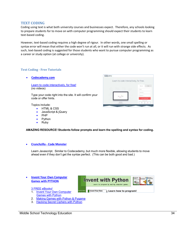#### **TEXT CODING**

Coding using text is what both university courses and businesses expect. Therefore, any schools looking to prepare students for to move on with computer programming should expect their students to learn text‐based coding.

However, text-based coding requires a high degree of rigour. In other words, one small spelling or syntax error will mean that either the code won't run at all, or it will run with strange side effects. As such, text-based coding is suggested for those students who want to pursue computer programming as a career or study option (at college or university).

#### **Text Coding ‐ Free Tutorials**

**Codecademy.com**

Learn to code interactively, for free! (no videos)

Type your code right into the site. It will confirm your code or offer hints.

Topics include:

- HTML & CSS
- JavaScript & jQuery
- $\bullet$  PHP
- Python
- Ruby



#### **Crunchzilla ‐ Code Monster**

Learn Javascript. Similar to Codecademy, but much more flexible, allowing students to move ahead even if they don't get the syntax perfect. (This can be both good and bad.)

- **Invent Your Own Computer Games with PYTHON**
	- 3 FREE eBooks!
	- 1. Invent Your Own Computer Games with Python
	- 2. Making Games with Python & Pygame
	- 3. Hacking Secret Ciphers with Python



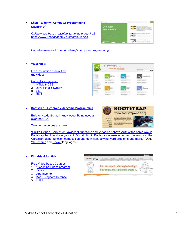**Khan Academy ‐ Computer Programming (JavaScript)**

*Online video-based teaching, targeting grade 4-12* https://www.khanacademy.org/computing/cs



Canadian review of Khan Academy's computer programming

**W3Schools**

Free instruction & activities (no videos)

Currently, courses in:

- 1. HTML & CSS
- 2. JavaScript & jQuery
- 3. SQL
- 4. PHP



#### **Bootstrap ‐ Algebraic Videogame Programming**

Build on student's math knowledge. Being used all over the USA.

Teacher resources are here.



"Unlike Python, Scratch or Javascript, functions and variables behave *exactly* the same way in Bootstrap that they do in your child's math book. Bootstrap focuses on order of operations, the Cartesian plane, function composition and definition, solving word problems and more." (Uses WeScheme and Racket languages)

#### **Pluralsight for Kids**

Free Video-based Courses:

- 1. "Teaching kids to program"
- 2. Scratch
- 3. App Inventor
- 4. Kodu Kingdom Defense
- 5. HTML

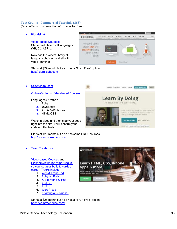#### **Text Coding ‐ Commercial Tutorials (\$\$\$)**

(Most offer a small selection of courses for free.)

**Pluralsight**

Video-based Courses: Started with Microsoft languages (VB, C#, ASP, ...)

Now has the widest library of language choices, and all with video learning!



Starts at \$29/month but also has a "Try It Free" option. http://pluralsight.com

**CodeSchool.com**

Online Coding + Video-based Courses:

Languages / "Paths":

- **1.** Ruby
- **2.** JavaScript
- **3.** iOS (iPad/iPhone)
- **4.** HTML/CSS

Watch a video and then type your code right into the site. It will confirm your code or offer hints.



Starts at \$29/month but also has some FREE courses. http://www.codeschool.com

#### **Team Treehouse**

Video-based Courses and Pioneers of the learning tracks, so your courses build towards a career. Tracks include:

- 1. Web & Front-End
- 2. Ruby on Rails
- 3. iOS (iPhone & iPad) 4. Android
- 5. PHP
- 
- 6. WordPress
- 7. "Starting a Business"

Starts at \$25/month but also has a "Try It Free" option. http://teamtreehouse.com/

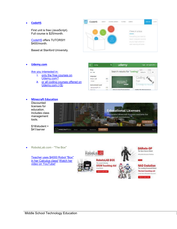#### **CodeHS**

First unit is free (JavaScript). Full course is \$25/month.

CodeHS offers TUTORS!!! \$400/month.

Based at Stanford University.



**Udemy.com**

#### Are you interested in:

- 1. only the free courses on Udemy.com?
- **2.** or all coding courses offered on Udemy.com (+\$)

| Ξ<br>coding.                              |           | udemy                       |                          | Losts @ English (IS) = |
|-------------------------------------------|-----------|-----------------------------|--------------------------|------------------------|
| Price.<br>$x + 1 = 1$                     |           | Search results for "coding" | SOE'LL<br>Domain         | 2570                   |
| Language<br>$B = (4/3, 2)$<br>liters.     | 65<br>(7) | awa da gwal                 | Coding <i>Usage y</i>    |                        |
| Instructional Level<br>Appropriate Par.At | 住院        | Programming                 | Entrepreneurs:           |                        |
| Eachings).                                | 12.311    | Integrate take Pregnaminae  | Codine for Intrepreneurs |                        |

#### **Minecraft Education**

**Discounted** licenses for education. Includes class management tools.



\$18/student + \$41/server

RobotsLab.com - "The Box"

Teacher uses \$4000 Robot "Box" in her Calculus class! Watch her video on YouTube!





**NAO Evolution** The Leading Humanoid Rebot The best teaching-aid In from Maria Affordables finant Erech .<br>Class to Learn many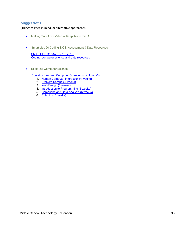## **Suggestions**

(Things to keep in mind, or alternative approaches)

- Making Your Own Videos? Keep this in mind!
- **Smart List: 20 Coding & CS, Assessment & Data Resources**

SMART LISTS / August 13, 2013. Coding, computer science and data resources

**•** Exploring Computer Science

Contains their own Computer Science curriculum (v5)

- 1. Human Computer Interaction (4 weeks)
- 2. Problem Solving (4 weeks)
- 3. Web Design (5 weeks)
- 4. Introduction to Programming (6 weeks)
- 5. Computing and Data Analysis (6 weeks)
- 6. Robotics (7 weeks)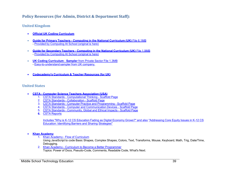## **Policy Resources (for Admin, District & Department Staff):**

## **United Kingdom**

- 0 **Official UK Coding Curriculum**
- . **Guide for Primary Teachers - Computing in the National Curriculum (UK)** File 6.1MB - Provided by Computing At School (original is here)
- $\bullet$  **Guide for Secondary Teachers - Computing in the National Curriculum (UK)** File 1.9MB - Provided by Computing At School (original is here)
- $\bullet$  **UK Coding Curriculum** - **Sampler** from Private Sector File 1.3MB - Easy-to-understand sampler from UK company.
- 0 **Codecademy's Curriculum & Teacher Resources (for UK)**

## **United States**

- . **CSTA - Computer Science Teachers Association (USA)**
	- 1. CSTA Standards Computational Thinking Scaffold Page
	- 2. CSTA Standards Collaboration Scaffold Page
	- 3. CSTA Standards Computer Practice and Programming Scaffold Page
	- 4. CSTA Standards Computer and Communication Devices Scaffold Page
	- 5. CSTA Standards Community, Global and Ethical Impacts Scaffold Page
	- **6.** CSTA Reports

Includes "Why is K-12 CS Education Fading as Digital Economy Grows?" and also "Addressing Core Equity Issues in K-12 CS Education: Identifying Barriers and Sharing Strategies"

#### 0 **Khan Academy**

- 1. Khan Academy Flow of Curriculum
	- Using JavaScript to code Basic Shapes, Complex Shapes, Colors, Text, Transforms, Mouse, Keyboard, Math, Trig, Date/Time, Debugging.
- 2. Khan Academy Curriculum to Become a Better Programmer Topics: Power of Docs, Pseudo-Code, Comments, Readable Code, What's Next.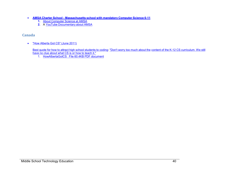- **AMSA Charter School Massachusetts school with mandatory Computer Science 6-11**
	- **1.** About Computer Science at AMSA
	- **2.** A YouTube Documentary about AMSA

## **Canada**

 $\bullet$ "How Alberta Got CS" (June 2011)

Best quote for how to attract high school students to coding: "Don't worry too much about the content of the K-12 CS curriculum. We still have no clue about what CS is or how to teach it."

1. HowAlbertaGotCS File 60.4KB PDF document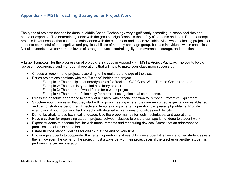## **Appendix F – MSTE Teaching Strategies for Project Work**

The types of projects that can be done in Middle School Technology vary significantly according to school facilities and educator expertise. The determining factor with the greatest significance is the safety of students and staff. Do not attempt projects in your school that cannot be safely done with the equipment and space available. Also, when selecting projects for students be mindful of the cognitive and physical abilities of not only each age group, but also individuals within each class. Not all students have comparable levels of strength, muscle control, agility, perseverance, courage, and ambition.

A larger framework for the progression of projects is included in Appendix 7 – MSTE Project Pathway. The points below represent pedagogical and managerial operations that will help to make your class more successful.

- Choose or recommend projects according to the make-up and age of the class
- Enrich project explanations with the "Science" behind the project
	- Example 1: The principles of aerodynamics for Rockets, CO2 Cars, Wind Turbine Generators, etc.
	- Example 2: The chemistry behind a culinary project.
	- Example 3: The nature of wood fibres for a wood project.
	- Example 4: The nature of electricity for a project using electrical components.
- Stress the absolute adherence to safety at all times, with special attention to Personal Protective Equipment.
- Structure your classes so that they start with a group meeting where rules are reinforced, expectations established and demonstrations performed. Effectively demonstrating a certain operation can pre-empt problems. Provide exemplars of both good and bad projects with detailed explanations of qualities and deficits.
- Do not be afraid to use technical language. Use the proper names for tools, techniques, and operations.
- Have a system for organizing student projects between classes to ensure damage is not done to student work.
- Expect students to become familiar with measurements and measuring devices. Stress that an adherence to precision is a class expectation.
- Establish consistent guidelines for clean-up at the end of work time.
- Encourage students to cooperate. If a certain operation is stressful for one student it is fine if another student assists them. However, the owner of the project must always be with their project even if the teacher or another student is performing a certain operation.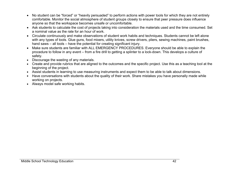- No student can be "forced" or "heavily persuaded" to perform actions with power tools for which they are not entirely comfortable. Monitor the social atmosphere of student groups closely to ensure that peer pressure does influence anyone so that the workspace becomes unsafe or uncomfortable.
- Ask students to calculate the cost of projects taking into consideration the materials used and the time consumed. Set a nominal value as the rate for an hour of work.
- Circulate continuously and make observations of student work habits and techniques. Students cannot be left alone with any types of tools. Glue guns, food mixers, utility knives, screw drivers, pliers, sewing machines, paint brushes, hand saws – all tools – have the potential for creating significant injury.
- Make sure students are familiar with ALL EMERGENCY PROCEDURES. Everyone should be able to explain the procedure to follow in any event – from a fire drill to getting a splinter to a lock-down. This develops a culture of safety.
- Discourage the wasting of any materials.
- Create and provide rubrics that are aligned to the outcomes and the specific project. Use this as a teaching tool at the beginning of the project.
- Assist students in learning to use measuring instruments and expect them to be able to talk about dimensions.
- Have conversations with students about the quality of their work. Share mistakes you have personally made while working on projects.
- Always model safe working habits.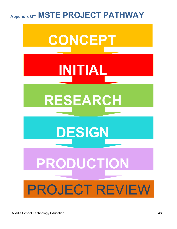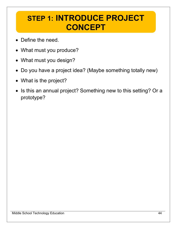## **STEP 1: INTRODUCE PROJECT CONCEPT**

- Define the need.
- What must you produce?
- What must you design?
- Do you have a project idea? (Maybe something totally new)
- What is the project?
- Is this an annual project? Something new to this setting? Or a prototype?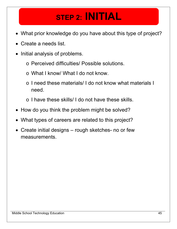## **STEP 2: INITIAL**

- What prior knowledge do you have about this type of project?
- Create a needs list.
- Initial analysis of problems.
	- o Perceived difficulties/ Possible solutions.
	- o What I know/ What I do not know.
	- o I need these materials/ I do not know what materials I need.
	- o I have these skills/ I do not have these skills.
- How do you think the problem might be solved?
- What types of careers are related to this project?
- Create initial designs rough sketches- no or few measurements.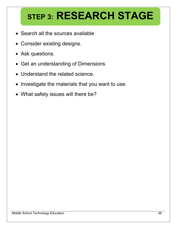# **STEP 3: RESEARCH STAGE**

- Search all the sources available
- Consider existing designs.
- Ask questions.
- Get an understanding of Dimensions
- Understand the related science.
- Investigate the materials that you want to use.
- What safety issues will there be?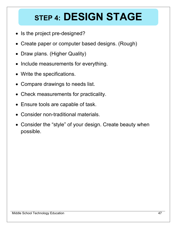# **STEP 4: DESIGN STAGE**

- Is the project pre-designed?
- Create paper or computer based designs. (Rough)
- Draw plans. (Higher Quality)
- Include measurements for everything.
- Write the specifications.
- Compare drawings to needs list.
- Check measurements for practicality.
- Ensure tools are capable of task.
- Consider non-traditional materials.
- Consider the "style" of your design. Create beauty when possible.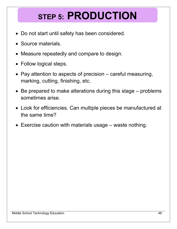# **STEP 5: PRODUCTION**

- Do not start until safety has been considered.
- Source materials.
- Measure repeatedly and compare to design.
- Follow logical steps.
- Pay attention to aspects of precision careful measuring, marking, cutting, finishing, etc.
- Be prepared to make alterations during this stage problems sometimes arise.
- Look for efficiencies. Can multiple pieces be manufactured at the same time?
- Exercise caution with materials usage waste nothing.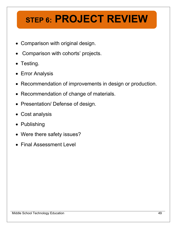# **STEP 6: PROJECT REVIEW**

- Comparison with original design.
- Comparison with cohorts' projects.
- Testing.
- Error Analysis
- Recommendation of improvements in design or production.
- Recommendation of change of materials.
- Presentation/ Defense of design.
- Cost analysis
- Publishing
- Were there safety issues?
- Final Assessment Level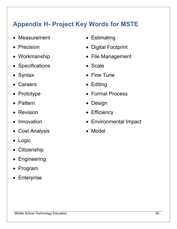## **Appendix H- Project Key Words for MSTE**

- Measurement Estimating
- 
- 
- Specifications Scale
- 
- 
- 
- Pattern  **Design**
- 
- 
- Cost Analysis Model
- Logic
- Citizenship
- Engineering
- Program
- Enterprise
- 
- Precision  **Digital Footprint**
- Workmanship  **File Management** 
	-
- Syntax Fine Tune
	- Careers **Careers Editing**
- Prototype  **Formal Process** 
	-
	- Revision **CONFIDENT CONTROL** Efficiency
- Innovation Environmental Impact
	-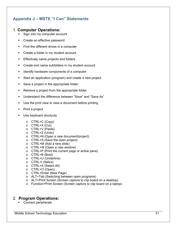## **Appendix J – MSTE "I Can" Statements**

## 1. **Computer Operations:**

- Sign into my computer account
- **•** Create an effective password
- Find the different drives in a computer
- **Create a folder in my student account**
- **Effectively name projects and folders**
- **•** Create and name subfolders in my student account
- Identify hardware components of a computer
- Start an application (program) and create a new project
- Save a project in the appropriate folder
- **Retrieve a project from the appropriate folder**
- Understand the difference between "Save" and "Save As"
- Use the print view to view a document before printing
- Print a project
- Use keyboard shortcuts
	- o CTRL+C (Copy)
	- o CTRL+X (Cut)
	- o CTRL+V (Paste)
	- o CTRL+Z (Undo)
	- o CTRL+N (Open a new document/project)
	- o CTRL+S (Save the open project)
	- o CTRL+M (Add a new slide)
	- o CTRL+W (Open a new window)
	- o CTRL+P (Print the current page or active pane)
	- o CTRL+B (Bold)
	- o CTRL+U (Underline)
	- o CTRL+I (Italics)
	- o CTRL+A (Select All)
	- o CTRL+O (Open)
	- o CTRL+Enter (New Page)
	- o ALT+Tab (Switching between open programs)
	- o ALT+Print Screen (Screen capture to clip board on a desktop)
	- o Function+Print Screen (Screen capture to clip board on a laptop)

## 2. **Program Operations:**

• Connect peripherals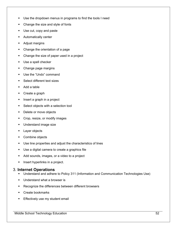- Use the dropdown menus in programs to find the tools I need
- Change the size and style of fonts
- Use cut, copy and paste
- **Automatically center**
- **Adjust margins**
- Change the orientation of a page
- Change the size of paper used in a project
- **Use a spell checker**
- Change page margins
- Use the "Undo" command
- **Select different text sizes**
- Add a table
- Create a graph
- **Insert a graph in a project**
- **Select objects with a selection tool**
- Delete or move objects
- **•** Crop, resize, or modify images
- **Understand image size**
- **Layer objects**
- Combine objects
- Use line properties and adjust the characteristics of lines
- Use a digital camera to create a graphics file
- Add sounds, images, or a video to a project
- **Insert hyperlinks in a project.**

## 3. **Internet Operations**

- Understand and adhere to Policy 311 (Information and Communication Technologies Use)
- Understand what a browser is
- **Recognize the differences between different browsers**
- **Create bookmarks**
- **Effectively use my student email**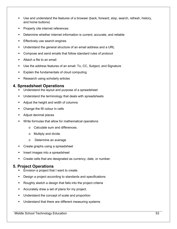- Use and understand the features of a browser (back, forward, stop, search, refresh, history, and home buttons)
- Properly cite internet references
- Determine whether internet information is current, accurate, and reliable
- **Effectively use search engines**
- Understand the general structure of an email address and a URL
- Compose and send emails that follow standard rules of protocol
- Attach a file to an email
- Use the address features of an email: To, CC, Subject, and Signature
- Explain the fundamentals of cloud computing
- **Research using scholarly articles**

### **4. Spreadsheet Operations**

- Understand the layout and purpose of a spreadsheet
- Understand the terminology that deals with spreadsheets
- Adjust the height and width of columns
- Change the fill colour in cells
- Adjust decimal places
- Write formulas that allow for mathematical operations
	- o Calculate sum and differences.
	- o Multiply and divide.
	- o Determine an average
- **•** Create graphs using a spreadsheet
- **Insert images into a spreadsheet**
- **Create cells that are designated as currency, date, or number.**

## **5. Project Operations**

- **Envision a project that I want to create.**
- Design a project according to standards and specifications
- Roughly sketch a design that falls into the project criteria
- Accurately draw a set of plans for my project.
- **Understand the concept of scale and proportion**
- **Understand that there are different measuring systems**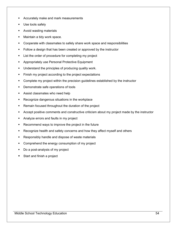- **Accurately make and mark measurements**
- Use tools safely
- **Avoid wasting materials**
- Maintain a tidy work space.
- Cooperate with classmates to safely share work space and responsibilities
- Follow a design that has been created or approved by the instructor
- List the order of procedure for completing my project
- Appropriately use Personal Protective Equipment
- **Understand the principles of producing quality work.**
- Finish my project according to the project expectations
- **•** Complete my project within the precision guidelines established by the instructor
- Demonstrate safe operations of tools
- **Assist classmates who need help**
- Recognize dangerous situations in the workplace
- Remain focused throughout the duration of the project
- Accept positive comments and constructive criticism about my project made by the instructor
- Analyze errors and faults in my project
- **Recommend ways to improve the project in the future**
- Recognize health and safety concerns and how they affect myself and others
- **Responsibly handle and dispose of waste materials**
- Comprehend the energy consumption of my project
- Do a post-analysis of my project
- Start and finish a project